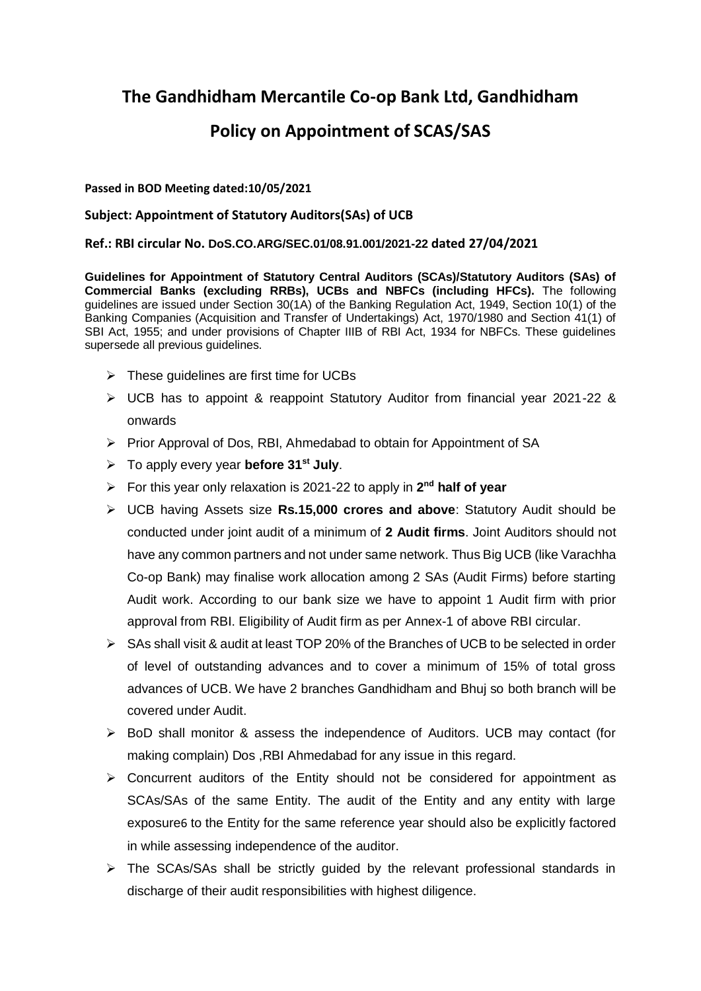# **The Gandhidham Mercantile Co-op Bank Ltd, Gandhidham**

# **Policy on Appointment of SCAS/SAS**

# **Passed in BOD Meeting dated:10/05/2021**

# **Subject: Appointment of Statutory Auditors(SAs) of UCB**

# **Ref.: RBI circular No. DoS.CO.ARG/SEC.01/08.91.001/2021-22 dated 27/04/2021**

**Guidelines for Appointment of Statutory Central Auditors (SCAs)/Statutory Auditors (SAs) of Commercial Banks (excluding RRBs), UCBs and NBFCs (including HFCs).** The following guidelines are issued under Section 30(1A) of the Banking Regulation Act, 1949, Section 10(1) of the Banking Companies (Acquisition and Transfer of Undertakings) Act, 1970/1980 and Section 41(1) of SBI Act, 1955; and under provisions of Chapter IIIB of RBI Act, 1934 for NBFCs. These guidelines supersede all previous guidelines.

- $\triangleright$  These quidelines are first time for UCBs
- UCB has to appoint & reappoint Statutory Auditor from financial year 2021-22 & onwards
- Prior Approval of Dos, RBI, Ahmedabad to obtain for Appointment of SA
- To apply every year **before 31st July**.
- ▶ For this year only relaxation is 2021-22 to apply in 2<sup>nd</sup> half of year
- UCB having Assets size **Rs.15,000 crores and above**: Statutory Audit should be conducted under joint audit of a minimum of **2 Audit firms**. Joint Auditors should not have any common partners and not under same network. Thus Big UCB (like Varachha Co-op Bank) may finalise work allocation among 2 SAs (Audit Firms) before starting Audit work. According to our bank size we have to appoint 1 Audit firm with prior approval from RBI. Eligibility of Audit firm as per Annex-1 of above RBI circular.
- $\triangleright$  SAs shall visit & audit at least TOP 20% of the Branches of UCB to be selected in order of level of outstanding advances and to cover a minimum of 15% of total gross advances of UCB. We have 2 branches Gandhidham and Bhuj so both branch will be covered under Audit.
- $\triangleright$  BoD shall monitor & assess the independence of Auditors. UCB may contact (for making complain) Dos ,RBI Ahmedabad for any issue in this regard.
- $\triangleright$  Concurrent auditors of the Entity should not be considered for appointment as SCAs/SAs of the same Entity. The audit of the Entity and any entity with large exposure[6](https://www.rbi.org.in/Scripts/BS_CircularIndexDisplay.aspx?Id=12079#FT6) to the Entity for the same reference year should also be explicitly factored in while assessing independence of the auditor.
- $\triangleright$  The SCAs/SAs shall be strictly guided by the relevant professional standards in discharge of their audit responsibilities with highest diligence.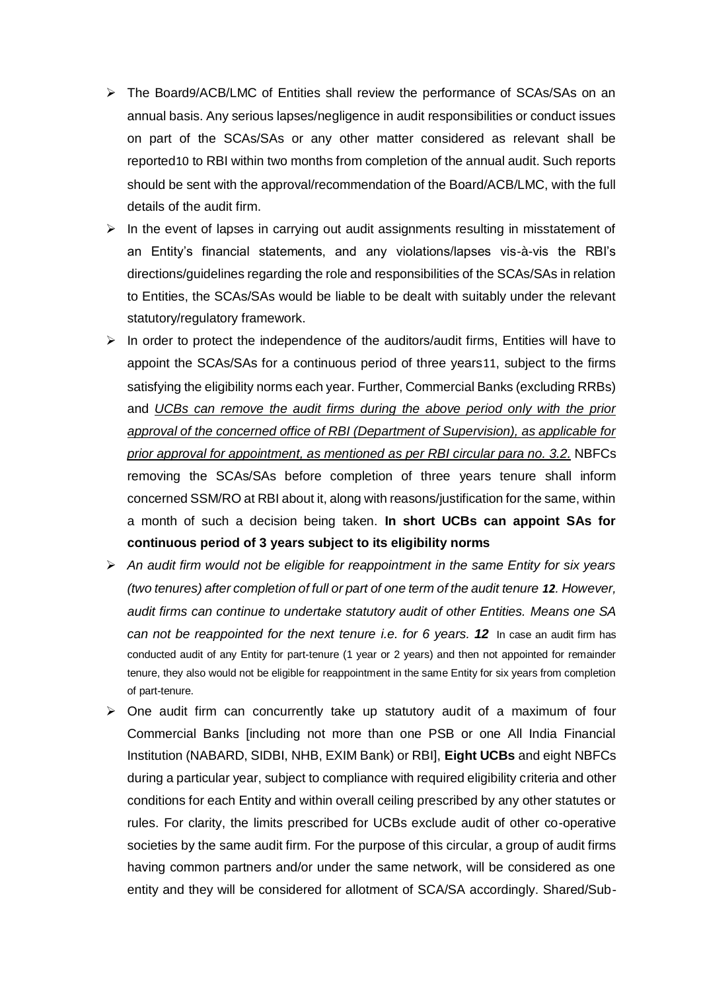- The Board[9](https://www.rbi.org.in/Scripts/BS_CircularIndexDisplay.aspx?Id=12079#FT9)/ACB/LMC of Entities shall review the performance of SCAs/SAs on an annual basis. Any serious lapses/negligence in audit responsibilities or conduct issues on part of the SCAs/SAs or any other matter considered as relevant shall be reported[10](https://www.rbi.org.in/Scripts/BS_CircularIndexDisplay.aspx?Id=12079#FT10) to RBI within two months from completion of the annual audit. Such reports should be sent with the approval/recommendation of the Board/ACB/LMC, with the full details of the audit firm.
- $\triangleright$  In the event of lapses in carrying out audit assignments resulting in misstatement of an Entity's financial statements, and any violations/lapses vis-à-vis the RBI's directions/guidelines regarding the role and responsibilities of the SCAs/SAs in relation to Entities, the SCAs/SAs would be liable to be dealt with suitably under the relevant statutory/regulatory framework.
- $\triangleright$  In order to protect the independence of the auditors/audit firms, Entities will have to appoint the SCAs/SAs for a continuous period of three years[11](https://www.rbi.org.in/Scripts/BS_CircularIndexDisplay.aspx?Id=12079#FT11), subject to the firms satisfying the eligibility norms each year. Further, Commercial Banks (excluding RRBs) and *UCBs can remove the audit firms during the above period only with the prior approval of the concerned office of RBI (Department of Supervision), as applicable for prior approval for appointment, as mentioned as per RBI circular para no. 3.2.* NBFCs removing the SCAs/SAs before completion of three years tenure shall inform concerned SSM/RO at RBI about it, along with reasons/justification for the same, within a month of such a decision being taken. **In short UCBs can appoint SAs for continuous period of 3 years subject to its eligibility norms**
- *An audit firm would not be eligible for reappointment in the same Entity for six years (two tenures) after completion of full or part of one term of the audit tenure [12](https://www.rbi.org.in/Scripts/BS_CircularIndexDisplay.aspx?Id=12079#FT12). However, audit firms can continue to undertake statutory audit of other Entities. Means one SA can not be reappointed for the next tenure i.e. for 6 years. 12* In case an audit firm has conducted audit of any Entity for part-tenure (1 year or 2 years) and then not appointed for remainder tenure, they also would not be eligible for reappointment in the same Entity for six years from completion of part-tenure.
- $\triangleright$  One audit firm can concurrently take up statutory audit of a maximum of four Commercial Banks [including not more than one PSB or one All India Financial Institution (NABARD, SIDBI, NHB, EXIM Bank) or RBI], **Eight UCBs** and eight NBFCs during a particular year, subject to compliance with required eligibility criteria and other conditions for each Entity and within overall ceiling prescribed by any other statutes or rules. For clarity, the limits prescribed for UCBs exclude audit of other co-operative societies by the same audit firm. For the purpose of this circular, a group of audit firms having common partners and/or under the same network, will be considered as one entity and they will be considered for allotment of SCA/SA accordingly. Shared/Sub-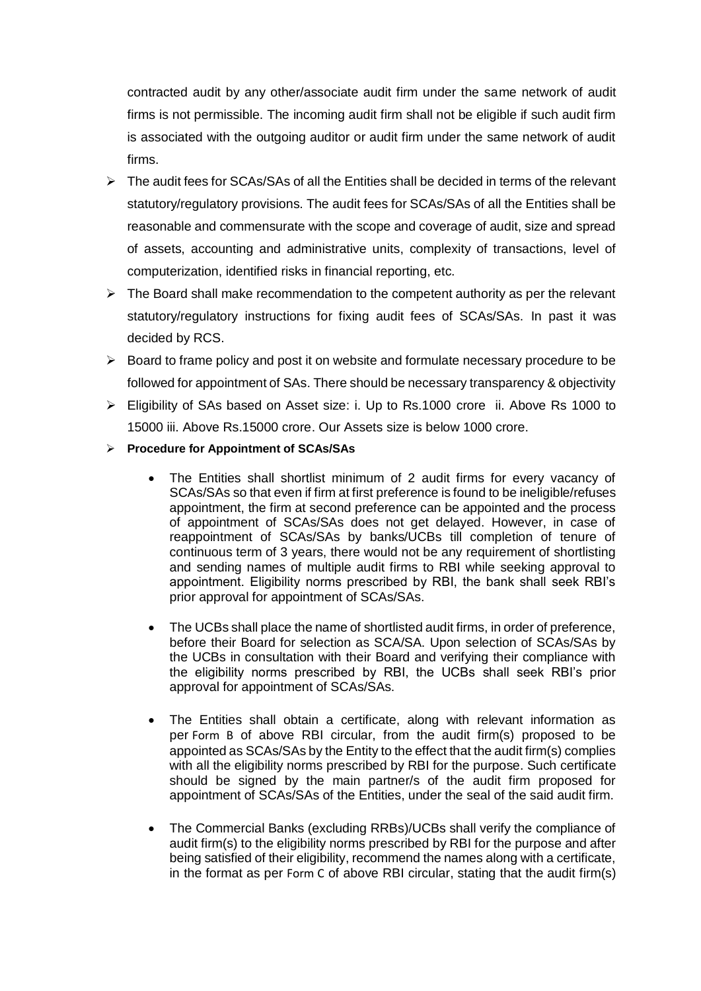contracted audit by any other/associate audit firm under the same network of audit firms is not permissible. The incoming audit firm shall not be eligible if such audit firm is associated with the outgoing auditor or audit firm under the same network of audit firms.

- $\triangleright$  The audit fees for SCAs/SAs of all the Entities shall be decided in terms of the relevant statutory/regulatory provisions. The audit fees for SCAs/SAs of all the Entities shall be reasonable and commensurate with the scope and coverage of audit, size and spread of assets, accounting and administrative units, complexity of transactions, level of computerization, identified risks in financial reporting, etc.
- $\triangleright$  The Board shall make recommendation to the competent authority as per the relevant statutory/regulatory instructions for fixing audit fees of SCAs/SAs. In past it was decided by RCS.
- $\triangleright$  Board to frame policy and post it on website and formulate necessary procedure to be followed for appointment of SAs. There should be necessary transparency & objectivity
- Eligibility of SAs based on Asset size: i. Up to Rs.1000 crore ii. Above Rs 1000 to 15000 iii. Above Rs.15000 crore. Our Assets size is below 1000 crore.
- **Procedure for Appointment of SCAs/SAs**
	- The Entities shall shortlist minimum of 2 audit firms for every vacancy of SCAs/SAs so that even if firm at first preference is found to be ineligible/refuses appointment, the firm at second preference can be appointed and the process of appointment of SCAs/SAs does not get delayed. However, in case of reappointment of SCAs/SAs by banks/UCBs till completion of tenure of continuous term of 3 years, there would not be any requirement of shortlisting and sending names of multiple audit firms to RBI while seeking approval to appointment. Eligibility norms prescribed by RBI, the bank shall seek RBI's prior approval for appointment of SCAs/SAs.
	- The UCBs shall place the name of shortlisted audit firms, in order of preference, before their Board for selection as SCA/SA. Upon selection of SCAs/SAs by the UCBs in consultation with their Board and verifying their compliance with the eligibility norms prescribed by RBI, the UCBs shall seek RBI's prior approval for appointment of SCAs/SAs.
	- The Entities shall obtain a certificate, along with relevant information as per [Form B](https://www.rbi.org.in/Scripts/BS_CircularIndexDisplay.aspx?Id=12079#FB) of above RBI circular, from the audit firm(s) proposed to be appointed as SCAs/SAs by the Entity to the effect that the audit firm(s) complies with all the eligibility norms prescribed by RBI for the purpose. Such certificate should be signed by the main partner/s of the audit firm proposed for appointment of SCAs/SAs of the Entities, under the seal of the said audit firm.
	- The Commercial Banks (excluding RRBs)/UCBs shall verify the compliance of audit firm(s) to the eligibility norms prescribed by RBI for the purpose and after being satisfied of their eligibility, recommend the names along with a certificate, in the format as per [Form C](https://www.rbi.org.in/Scripts/BS_CircularIndexDisplay.aspx?Id=12079#FC) of above RBI circular, stating that the audit firm(s)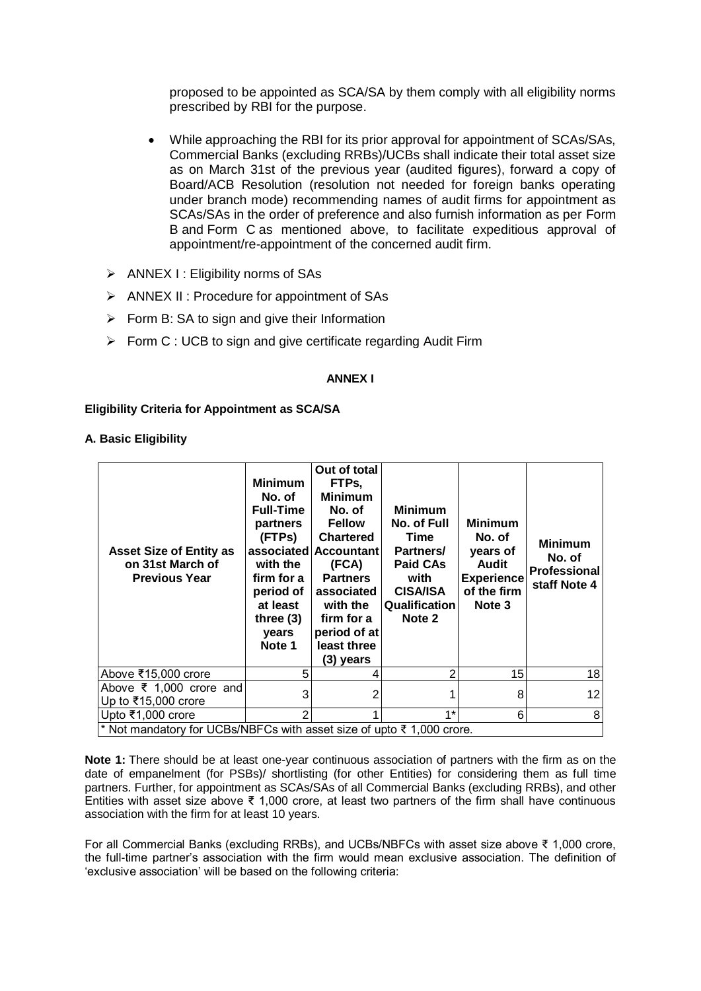proposed to be appointed as SCA/SA by them comply with all eligibility norms prescribed by RBI for the purpose.

- While approaching the RBI for its prior approval for appointment of SCAs/SAs, Commercial Banks (excluding RRBs)/UCBs shall indicate their total asset size as on March 31st of the previous year (audited figures), forward a copy of Board/ACB Resolution (resolution not needed for foreign banks operating under branch mode) recommending names of audit firms for appointment as SCAs/SAs in the order of preference and also furnish information as per [Form](https://www.rbi.org.in/Scripts/BS_CircularIndexDisplay.aspx?Id=12079#FB)  [B](https://www.rbi.org.in/Scripts/BS_CircularIndexDisplay.aspx?Id=12079#FB) and [Form C](https://www.rbi.org.in/Scripts/BS_CircularIndexDisplay.aspx?Id=12079#FC) as mentioned above, to facilitate expeditious approval of appointment/re-appointment of the concerned audit firm.
- $\triangleright$  ANNEX I : Eligibility norms of SAs
- $\triangleright$  ANNEX II : Procedure for appointment of SAs
- $\triangleright$  Form B: SA to sign and give their Information
- $\triangleright$  Form C : UCB to sign and give certificate regarding Audit Firm

### **ANNEX I**

### **Eligibility Criteria for Appointment as SCA/SA**

### **A. Basic Eligibility**

| <b>Asset Size of Entity as</b><br>on 31st March of<br><b>Previous Year</b>                 | <b>Minimum</b><br>No. of<br><b>Full-Time</b><br>partners<br>(FTPs)<br>with the<br>firm for a<br>period of<br>at least<br>three $(3)$<br>years<br>Note 1 | Out of total<br>FTPs,<br><b>Minimum</b><br>No. of<br><b>Fellow</b><br><b>Chartered</b><br>associated Accountant<br>(FCA)<br><b>Partners</b><br>associated<br>with the<br>firm for a<br>period of at<br>least three<br>(3) years | <b>Minimum</b><br>No. of Full<br><b>Time</b><br>Partners/<br><b>Paid CAs</b><br>with<br><b>CISA/ISA</b><br>Qualification<br>Note 2 | <b>Minimum</b><br>No. of<br>years of<br>Audit<br><b>Experience</b><br>of the firm<br>Note 3 | <b>Minimum</b><br>No. of<br><b>Professional</b><br>staff Note 4 |
|--------------------------------------------------------------------------------------------|---------------------------------------------------------------------------------------------------------------------------------------------------------|---------------------------------------------------------------------------------------------------------------------------------------------------------------------------------------------------------------------------------|------------------------------------------------------------------------------------------------------------------------------------|---------------------------------------------------------------------------------------------|-----------------------------------------------------------------|
| Above ₹15,000 crore                                                                        | 5                                                                                                                                                       |                                                                                                                                                                                                                                 | 2                                                                                                                                  | 15                                                                                          | 18                                                              |
|                                                                                            |                                                                                                                                                         |                                                                                                                                                                                                                                 |                                                                                                                                    | 8                                                                                           | 12                                                              |
| Above $\overline{\xi}$ 1,000 crore and<br>Up to ₹15,000 crore                              | 3                                                                                                                                                       |                                                                                                                                                                                                                                 |                                                                                                                                    |                                                                                             |                                                                 |
| Upto ₹1,000 crore<br>* Not mandatory for UCBs/NBFCs with asset size of upto ₹ 1,000 crore. | 2                                                                                                                                                       |                                                                                                                                                                                                                                 | $1*$                                                                                                                               | 6                                                                                           | 8                                                               |

**Note 1:** There should be at least one-year continuous association of partners with the firm as on the date of empanelment (for PSBs)/ shortlisting (for other Entities) for considering them as full time partners. Further, for appointment as SCAs/SAs of all Commercial Banks (excluding RRBs), and other Entities with asset size above ₹ 1,000 crore, at least two partners of the firm shall have continuous association with the firm for at least 10 years.

For all Commercial Banks (excluding RRBs), and UCBs/NBFCs with asset size above ₹ 1,000 crore, the full-time partner's association with the firm would mean exclusive association. The definition of 'exclusive association' will be based on the following criteria: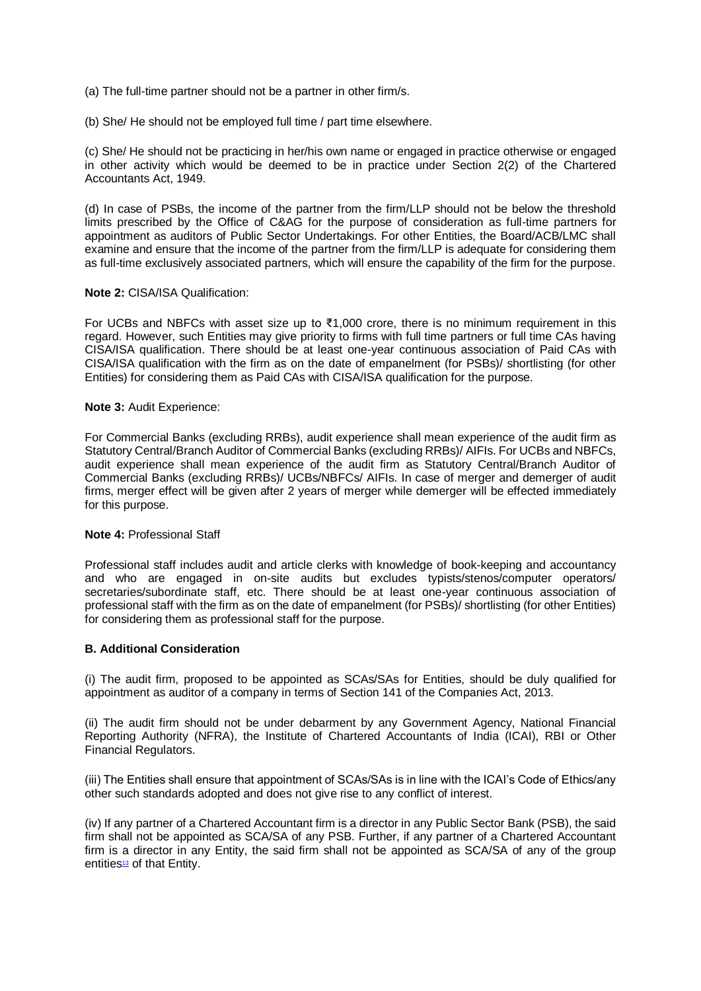- (a) The full-time partner should not be a partner in other firm/s.
- (b) She/ He should not be employed full time / part time elsewhere.

(c) She/ He should not be practicing in her/his own name or engaged in practice otherwise or engaged in other activity which would be deemed to be in practice under Section 2(2) of the Chartered Accountants Act, 1949.

(d) In case of PSBs, the income of the partner from the firm/LLP should not be below the threshold limits prescribed by the Office of C&AG for the purpose of consideration as full-time partners for appointment as auditors of Public Sector Undertakings. For other Entities, the Board/ACB/LMC shall examine and ensure that the income of the partner from the firm/LLP is adequate for considering them as full-time exclusively associated partners, which will ensure the capability of the firm for the purpose.

#### **Note 2:** CISA/ISA Qualification:

For UCBs and NBFCs with asset size up to ₹1,000 crore, there is no minimum requirement in this regard. However, such Entities may give priority to firms with full time partners or full time CAs having CISA/ISA qualification. There should be at least one-year continuous association of Paid CAs with CISA/ISA qualification with the firm as on the date of empanelment (for PSBs)/ shortlisting (for other Entities) for considering them as Paid CAs with CISA/ISA qualification for the purpose.

#### **Note 3:** Audit Experience:

For Commercial Banks (excluding RRBs), audit experience shall mean experience of the audit firm as Statutory Central/Branch Auditor of Commercial Banks (excluding RRBs)/ AIFIs. For UCBs and NBFCs, audit experience shall mean experience of the audit firm as Statutory Central/Branch Auditor of Commercial Banks (excluding RRBs)/ UCBs/NBFCs/ AIFIs. In case of merger and demerger of audit firms, merger effect will be given after 2 years of merger while demerger will be effected immediately for this purpose.

#### **Note 4:** Professional Staff

Professional staff includes audit and article clerks with knowledge of book-keeping and accountancy and who are engaged in on-site audits but excludes typists/stenos/computer operators/ secretaries/subordinate staff, etc. There should be at least one-year continuous association of professional staff with the firm as on the date of empanelment (for PSBs)/ shortlisting (for other Entities) for considering them as professional staff for the purpose.

## **B. Additional Consideration**

(i) The audit firm, proposed to be appointed as SCAs/SAs for Entities, should be duly qualified for appointment as auditor of a company in terms of Section 141 of the Companies Act, 2013.

(ii) The audit firm should not be under debarment by any Government Agency, National Financial Reporting Authority (NFRA), the Institute of Chartered Accountants of India (ICAI), RBI or Other Financial Regulators.

(iii) The Entities shall ensure that appointment of SCAs/SAs is in line with the ICAI's Code of Ethics/any other such standards adopted and does not give rise to any conflict of interest.

(iv) If any partner of a Chartered Accountant firm is a director in any Public Sector Bank (PSB), the said firm shall not be appointed as SCA/SA of any PSB. Further, if any partner of a Chartered Accountant firm is a director in any Entity, the said firm shall not be appointed as SCA/SA of any of the group entitie[s](https://www.rbi.org.in/Scripts/BS_CircularIndexDisplay.aspx?Id=12079#FT13)<sup>13</sup> of that Entity.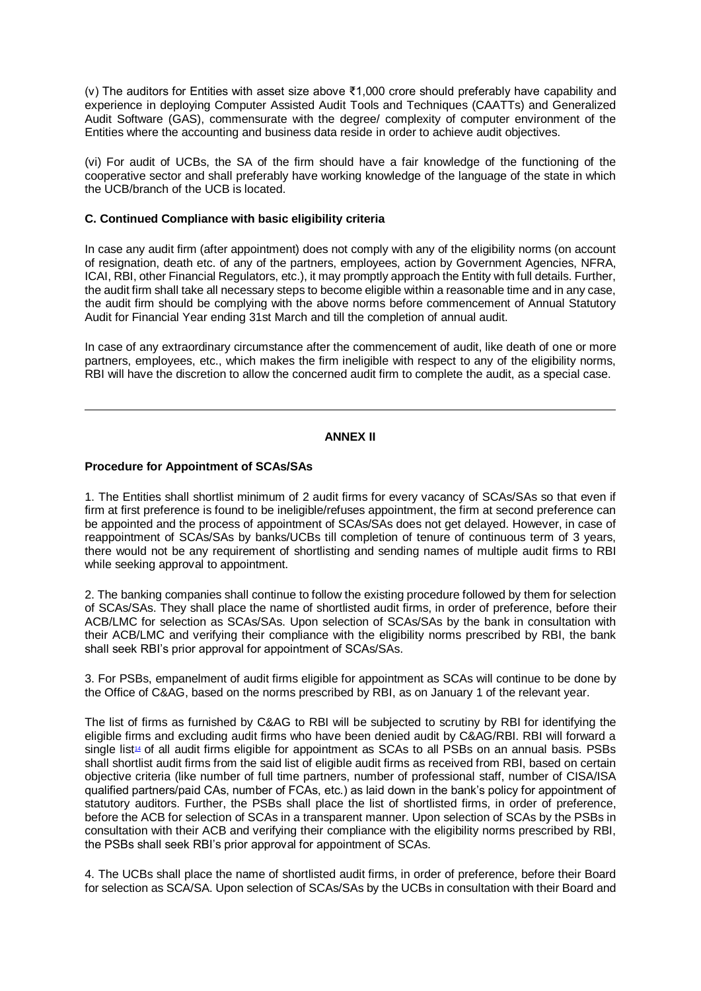(v) The auditors for Entities with asset size above ₹1,000 crore should preferably have capability and experience in deploying Computer Assisted Audit Tools and Techniques (CAATTs) and Generalized Audit Software (GAS), commensurate with the degree/ complexity of computer environment of the Entities where the accounting and business data reside in order to achieve audit objectives.

(vi) For audit of UCBs, the SA of the firm should have a fair knowledge of the functioning of the cooperative sector and shall preferably have working knowledge of the language of the state in which the UCB/branch of the UCB is located.

## **C. Continued Compliance with basic eligibility criteria**

In case any audit firm (after appointment) does not comply with any of the eligibility norms (on account of resignation, death etc. of any of the partners, employees, action by Government Agencies, NFRA, ICAI, RBI, other Financial Regulators, etc.), it may promptly approach the Entity with full details. Further, the audit firm shall take all necessary steps to become eligible within a reasonable time and in any case, the audit firm should be complying with the above norms before commencement of Annual Statutory Audit for Financial Year ending 31st March and till the completion of annual audit.

In case of any extraordinary circumstance after the commencement of audit, like death of one or more partners, employees, etc., which makes the firm ineligible with respect to any of the eligibility norms, RBI will have the discretion to allow the concerned audit firm to complete the audit, as a special case.

#### **ANNEX II**

### **Procedure for Appointment of SCAs/SAs**

1. The Entities shall shortlist minimum of 2 audit firms for every vacancy of SCAs/SAs so that even if firm at first preference is found to be ineligible/refuses appointment, the firm at second preference can be appointed and the process of appointment of SCAs/SAs does not get delayed. However, in case of reappointment of SCAs/SAs by banks/UCBs till completion of tenure of continuous term of 3 years, there would not be any requirement of shortlisting and sending names of multiple audit firms to RBI while seeking approval to appointment.

2. The banking companies shall continue to follow the existing procedure followed by them for selection of SCAs/SAs. They shall place the name of shortlisted audit firms, in order of preference, before their ACB/LMC for selection as SCAs/SAs. Upon selection of SCAs/SAs by the bank in consultation with their ACB/LMC and verifying their compliance with the eligibility norms prescribed by RBI, the bank shall seek RBI's prior approval for appointment of SCAs/SAs.

3. For PSBs, empanelment of audit firms eligible for appointment as SCAs will continue to be done by the Office of C&AG, based on the norms prescribed by RBI, as on January 1 of the relevant year.

The list of firms as furnished by C&AG to RBI will be subjected to scrutiny by RBI for identifying the eligible firms and excluding audit firms who have been denied audit by C&AG/RBI. RBI will forward a single list<sup>[14](https://www.rbi.org.in/Scripts/BS_CircularIndexDisplay.aspx?Id=12079#FT14)</sup> of all audit firms eligible for appointment as SCAs to all PSBs on an annual basis. PSBs shall shortlist audit firms from the said list of eligible audit firms as received from RBI, based on certain objective criteria (like number of full time partners, number of professional staff, number of CISA/ISA qualified partners/paid CAs, number of FCAs, etc.) as laid down in the bank's policy for appointment of statutory auditors. Further, the PSBs shall place the list of shortlisted firms, in order of preference, before the ACB for selection of SCAs in a transparent manner. Upon selection of SCAs by the PSBs in consultation with their ACB and verifying their compliance with the eligibility norms prescribed by RBI, the PSBs shall seek RBI's prior approval for appointment of SCAs.

4. The UCBs shall place the name of shortlisted audit firms, in order of preference, before their Board for selection as SCA/SA. Upon selection of SCAs/SAs by the UCBs in consultation with their Board and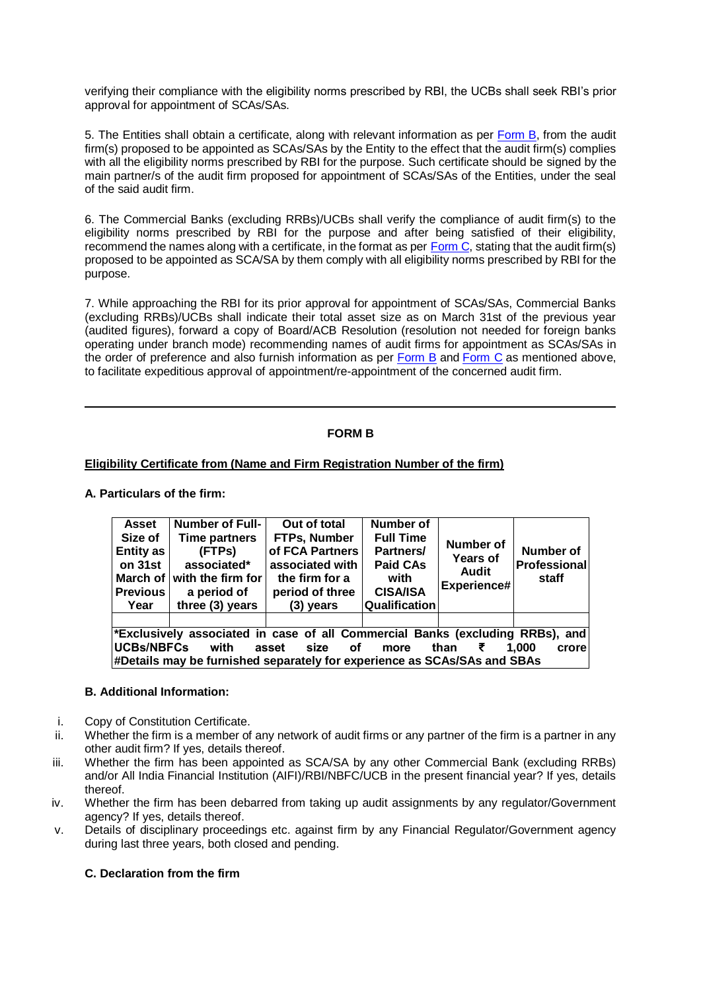verifying their compliance with the eligibility norms prescribed by RBI, the UCBs shall seek RBI's prior approval for appointment of SCAs/SAs.

5. The Entities shall obtain a certificate, along with relevant information as per [Form B,](https://www.rbi.org.in/Scripts/BS_CircularIndexDisplay.aspx?Id=12079#FB) from the audit firm(s) proposed to be appointed as SCAs/SAs by the Entity to the effect that the audit firm(s) complies with all the eligibility norms prescribed by RBI for the purpose. Such certificate should be signed by the main partner/s of the audit firm proposed for appointment of SCAs/SAs of the Entities, under the seal of the said audit firm.

6. The Commercial Banks (excluding RRBs)/UCBs shall verify the compliance of audit firm(s) to the eligibility norms prescribed by RBI for the purpose and after being satisfied of their eligibility, recommend the names along with a certificate, in the format as per  $\overline{Form C}$ , stating that the audit firm(s) proposed to be appointed as SCA/SA by them comply with all eligibility norms prescribed by RBI for the purpose.

7. While approaching the RBI for its prior approval for appointment of SCAs/SAs, Commercial Banks (excluding RRBs)/UCBs shall indicate their total asset size as on March 31st of the previous year (audited figures), forward a copy of Board/ACB Resolution (resolution not needed for foreign banks operating under branch mode) recommending names of audit firms for appointment as SCAs/SAs in the order of preference and also furnish information as per [Form B](https://www.rbi.org.in/Scripts/BS_CircularIndexDisplay.aspx?Id=12079#FB) and [Form C](https://www.rbi.org.in/Scripts/BS_CircularIndexDisplay.aspx?Id=12079#FC) as mentioned above, to facilitate expeditious approval of appointment/re-appointment of the concerned audit firm.

# **FORM B**

## **Eligibility Certificate from (Name and Firm Registration Number of the firm)**

## **A. Particulars of the firm:**

| Asset<br>Size of<br><b>Entity as</b><br>on 31st<br><b>Previous</b><br>Year               | <b>Number of Full-</b><br><b>Time partners</b><br>(FTPs)<br>associated*<br>March of $ $ with the firm for<br>a period of<br>three (3) years | Out of total<br>FTPs, Number<br>of FCA Partners<br>associated with<br>the firm for a<br>period of three<br>$(3)$ years | <b>Number of</b><br><b>Full Time</b><br>Partners/<br><b>Paid CAs</b><br>with<br><b>CISA/ISA</b><br>Qualification | <b>Number of</b><br>Years of<br><b>Audit</b><br>Experience# | <b>Number of</b><br>Professional<br>staff |  |  |  |
|------------------------------------------------------------------------------------------|---------------------------------------------------------------------------------------------------------------------------------------------|------------------------------------------------------------------------------------------------------------------------|------------------------------------------------------------------------------------------------------------------|-------------------------------------------------------------|-------------------------------------------|--|--|--|
|                                                                                          |                                                                                                                                             |                                                                                                                        |                                                                                                                  |                                                             |                                           |  |  |  |
| *Exclusively associated in case of all Commercial Banks (excluding RRBs), and            |                                                                                                                                             |                                                                                                                        |                                                                                                                  |                                                             |                                           |  |  |  |
| <b>IUCBs/NBFCs</b><br>with<br>asset<br>1.000<br>crore<br>size<br>than<br>оf<br>₹<br>more |                                                                                                                                             |                                                                                                                        |                                                                                                                  |                                                             |                                           |  |  |  |
| #Details may be furnished separately for experience as SCAs/SAs and SBAs                 |                                                                                                                                             |                                                                                                                        |                                                                                                                  |                                                             |                                           |  |  |  |

## **B. Additional Information:**

- i. Copy of Constitution Certificate.
- ii. Whether the firm is a member of any network of audit firms or any partner of the firm is a partner in any other audit firm? If yes, details thereof.
- iii. Whether the firm has been appointed as SCA/SA by any other Commercial Bank (excluding RRBs) and/or All India Financial Institution (AIFI)/RBI/NBFC/UCB in the present financial year? If yes, details thereof.
- iv. Whether the firm has been debarred from taking up audit assignments by any regulator/Government agency? If yes, details thereof.
- v. Details of disciplinary proceedings etc. against firm by any Financial Regulator/Government agency during last three years, both closed and pending.

# **C. Declaration from the firm**